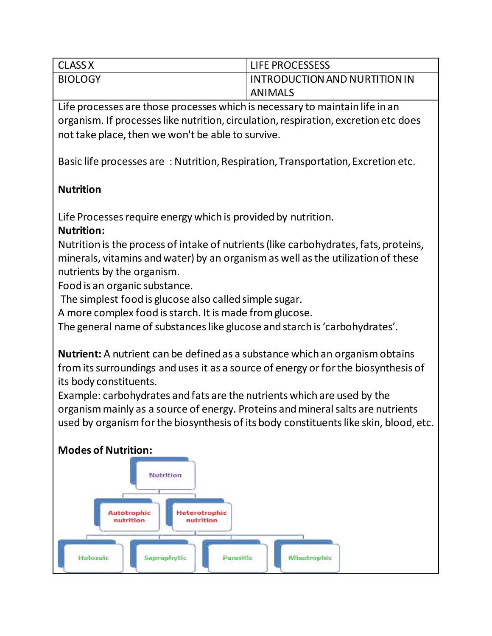| <b>CLASS X</b> | LIFE PROCESSESS               |
|----------------|-------------------------------|
| <b>BIOLOGY</b> | INTRODUCTION AND NURTITION IN |
|                | ANIMALS                       |

Life processes are those processes which is necessary to maintain life in an organism. If processes like nutrition, circulation, respiration, excretion etc does not take place, then we won't be able to survive.

Basic life processes are : Nutrition, Respiration, Transportation, Excretion etc.

# **Nutrition**

Life Processes require energy which is provided by nutrition.

# **Nutrition:**

Nutrition is the process of intake of nutrients (like carbohydrates, fats, proteins, minerals, vitamins and water) by an organism as well as the utilization of these nutrients by the organism.

Food is an organic substance.

The simplest food is glucose also called simple sugar.

A more complex food is starch. It is made from glucose.

The general name of substances like glucose and starch is 'carbohydrates'.

**Nutrient:** A nutrient can be defined as a substance which an organism obtains from its surroundings and uses it as a source of energy or for the biosynthesis of its body constituents.

Example: carbohydrates and fats are the nutrients which are used by the organism mainly as a source of energy. Proteins and mineral salts are nutrients used by organism for the biosynthesis of its body constituents like skin, blood, etc.

# **Modes of Nutrition:**

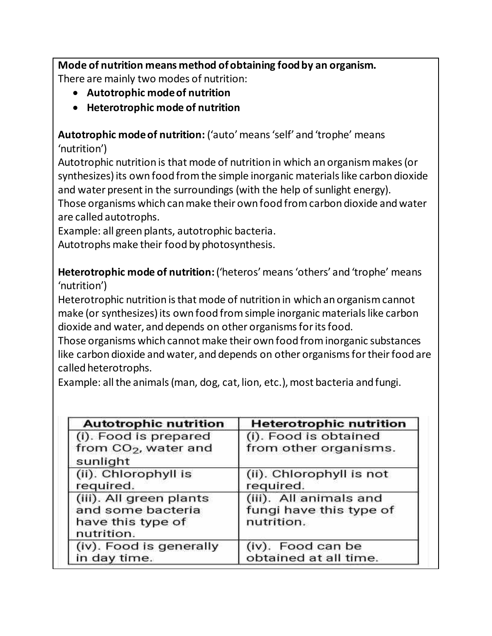**Mode of nutrition means method of obtaining food by an organism.**  There are mainly two modes of nutrition:

- **Autotrophic mode of nutrition**
- **Heterotrophic mode of nutrition**

**Autotrophic mode of nutrition:** ('auto' means 'self' and 'trophe' means 'nutrition')

Autotrophic nutrition is that mode of nutrition in which an organism makes (or synthesizes) its own food from the simple inorganic materials like carbon dioxide and water present in the surroundings (with the help of sunlight energy). Those organisms which can make their own food from carbon dioxide and water are called autotrophs.

Example: all green plants, autotrophic bacteria. Autotrophs make their food by photosynthesis.

**Heterotrophic mode of nutrition:**('heteros' means 'others' and 'trophe' means 'nutrition')

Heterotrophic nutrition is that mode of nutrition in which an organism cannot make (or synthesizes) its own food from simple inorganic materials like carbon dioxide and water, and depends on other organisms for its food.

Those organisms which cannot make their own food from inorganic substances like carbon dioxide and water, and depends on other organisms for their food are called heterotrophs.

Example: all the animals (man, dog, cat, lion, etc.), most bacteria and fungi.

| <b>Autotrophic nutrition</b>                                                    | <b>Heterotrophic nutrition</b>                                  |
|---------------------------------------------------------------------------------|-----------------------------------------------------------------|
| (i). Food is prepared<br>from $CO2$ , water and<br>sunlight                     | (i). Food is obtained<br>from other organisms.                  |
| (ii). Chlorophyll is<br>required.                                               | (ii). Chlorophyll is not<br>required.                           |
| (iii). All green plants<br>and some bacteria<br>have this type of<br>nutrition. | (iii). All animals and<br>fungi have this type of<br>nutrition. |
| (iv). Food is generally<br>in day time.                                         | (iv). Food can be<br>obtained at all time.                      |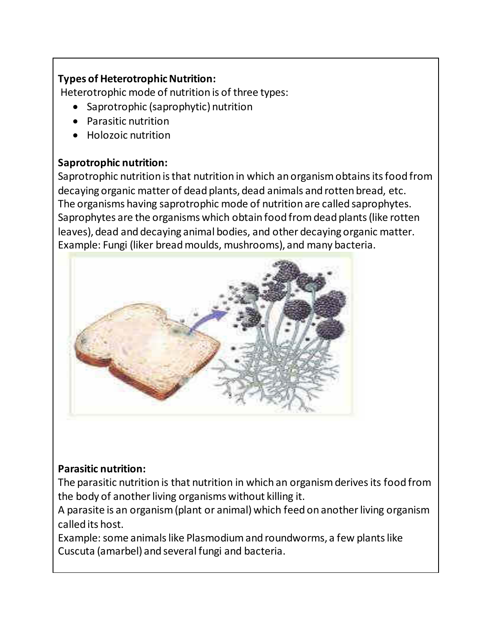# **Types of Heterotrophic Nutrition:**

Heterotrophic mode of nutrition is of three types:

- Saprotrophic (saprophytic) nutrition
- Parasitic nutrition
- Holozoic nutrition

### **Saprotrophic nutrition:**

Saprotrophic nutrition is that nutrition in which an organism obtains its food from decaying organic matter of dead plants, dead animals and rotten bread, etc. The organisms having saprotrophic mode of nutrition are called saprophytes. Saprophytes are the organisms which obtain food from dead plants (like rotten leaves), dead and decaying animal bodies, and other decaying organic matter. Example: Fungi (liker bread moulds, mushrooms), and many bacteria.



# **Parasitic nutrition:**

The parasitic nutrition is that nutrition in which an organism derives its food from the body of another living organisms without killing it.

A parasite is an organism (plant or animal) which feed on another living organism called its host.

Example: some animals like Plasmodium and roundworms, a few plants like Cuscuta (amarbel) and several fungi and bacteria.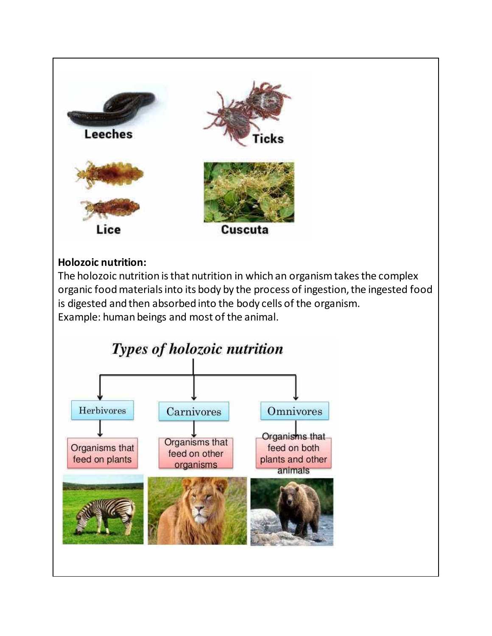

### **Holozoic nutrition:**

The holozoic nutrition is that nutrition in which an organism takes the complex organic food materials into its body by the process of ingestion, the ingested food is digested and then absorbed into the body cells of the organism. Example: human beings and most of the animal.

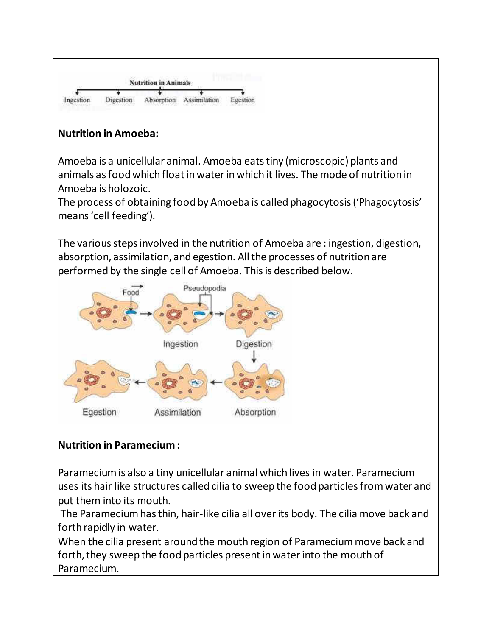

# **Nutrition in Amoeba:**

Amoeba is a unicellular animal. Amoeba eats tiny (microscopic) plants and animals as food which float in water in which it lives. The mode of nutrition in Amoeba is holozoic.

The process of obtaining food by Amoeba is called phagocytosis ('Phagocytosis' means 'cell feeding').

The various steps involved in the nutrition of Amoeba are : ingestion, digestion, absorption, assimilation, and egestion. All the processes of nutrition are performed by the single cell of Amoeba. This is described below.



# **Nutrition in Paramecium :**

Paramecium is also a tiny unicellular animal which lives in water. Paramecium uses its hair like structures called cilia to sweep the food particles from water and put them into its mouth.

 The Paramecium has thin, hair-like cilia all over its body. The cilia move back and forth rapidly in water.

When the cilia present around the mouth region of Paramecium move back and forth, they sweep the food particles present in water into the mouth of Paramecium.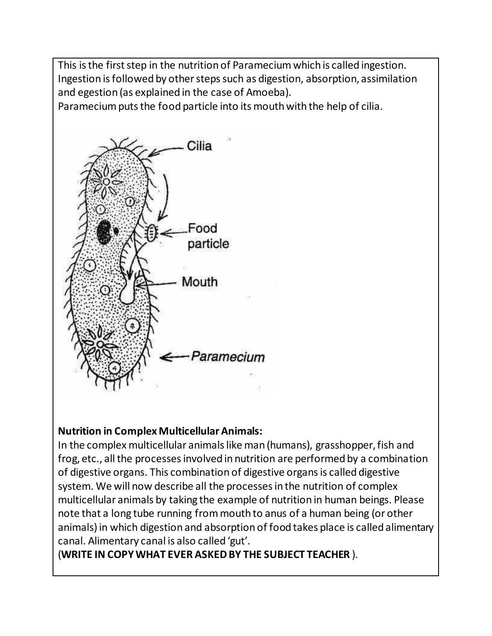This is the first step in the nutrition of Paramecium which is called ingestion. Ingestion is followed by other steps such as digestion, absorption, assimilation and egestion (as explained in the case of Amoeba).

Paramecium puts the food particle into its mouth with the help of cilia.



#### **Nutrition in Complex Multicellular Animals:**

In the complex multicellular animals like man (humans), grasshopper, fish and frog, etc., all the processes involved in nutrition are performed by a combination of digestive organs. This combination of digestive organs is called digestive system. We will now describe all the processes in the nutrition of complex multicellular animals by taking the example of nutrition in human beings. Please note that a long tube running from mouth to anus of a human being (or other animals) in which digestion and absorption of food takes place is called alimentary canal. Alimentary canal is also called 'gut'.

#### (**WRITE IN COPY WHAT EVER ASKED BY THE SUBJECT TEACHER** ).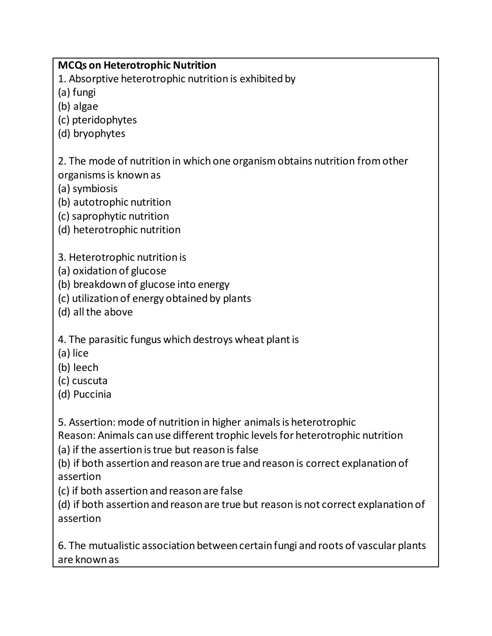### **MCQs on Heterotrophic Nutrition**

1. Absorptive heterotrophic nutrition is exhibited by

(a) fungi

(b) algae

(c) pteridophytes

(d) bryophytes

2. The mode of nutrition in which one organism obtains nutrition from other organisms is known as

(a) symbiosis

- (b) autotrophic nutrition
- (c) saprophytic nutrition
- (d) heterotrophic nutrition
- 3. Heterotrophic nutrition is
- (a) oxidation of glucose
- (b) breakdown of glucose into energy
- (c) utilization of energy obtained by plants
- (d) all the above

4. The parasitic fungus which destroys wheat plant is

- (a) lice
- (b) leech
- (c) cuscuta
- (d) Puccinia

5. Assertion: mode of nutrition in higher animals is heterotrophic

Reason: Animals can use different trophic levels for heterotrophic nutrition

(a) if the assertion is true but reason is false

(b) if both assertion and reason are true and reason is correct explanation of assertion

(c) if both assertion and reason are false

(d) if both assertion and reason are true but reason is not correct explanation of assertion

6. The mutualistic association between certain fungi and roots of vascular plants are known as